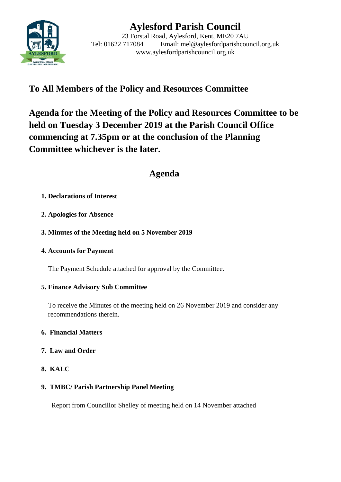

# **Aylesford Parish Council**

23 Forstal Road, Aylesford, Kent, ME20 7AU Tel: 01622 717084 Email: mel@aylesfordparishcouncil.org.uk www.aylesfordparishcouncil.org.uk

## **To All Members of the Policy and Resources Committee**

**Agenda for the Meeting of the Policy and Resources Committee to be held on Tuesday 3 December 2019 at the Parish Council Office commencing at 7.35pm or at the conclusion of the Planning Committee whichever is the later.**

### **Agenda**

### **1. Declarations of Interest**

- **2. Apologies for Absence**
- **3. Minutes of the Meeting held on 5 November 2019**
- **4. Accounts for Payment**

The Payment Schedule attached for approval by the Committee.

### **5. Finance Advisory Sub Committee**

To receive the Minutes of the meeting held on 26 November 2019 and consider any recommendations therein.

### **6. Financial Matters**

- **7. Law and Order**
- **8. KALC**

### **9. TMBC/ Parish Partnership Panel Meeting**

Report from Councillor Shelley of meeting held on 14 November attached